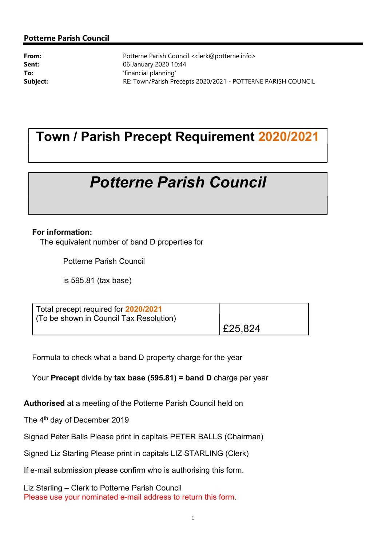#### Potterne Parish Council

**From:** Potterne Parish Council <clerk@potterne.info> **Sent:** 06 January 2020 10:44 To:  $\qquad \qquad$  'financial planning' Subject: RE: Town/Parish Precepts 2020/2021 - POTTERNE PARISH COUNCIL

# Town / Parish Precept Requirement 2020/2021

# Potterne Parish Council

#### For information:

The equivalent number of band D properties for

Potterne Parish Council

is 595.81 (tax base)

| Total precept required for 2020/2021<br>(To be shown in Council Tax Resolution) |         |
|---------------------------------------------------------------------------------|---------|
|                                                                                 | E25,824 |

Formula to check what a band D property charge for the year

Your Precept divide by tax base (595.81) = band D charge per year

Authorised at a meeting of the Potterne Parish Council held on

The 4<sup>th</sup> day of December 2019

Signed Peter Balls Please print in capitals PETER BALLS (Chairman)

Signed Liz Starling Please print in capitals LIZ STARLING (Clerk)

If e-mail submission please confirm who is authorising this form.

Liz Starling – Clerk to Potterne Parish Council Please use your nominated e-mail address to return this form.